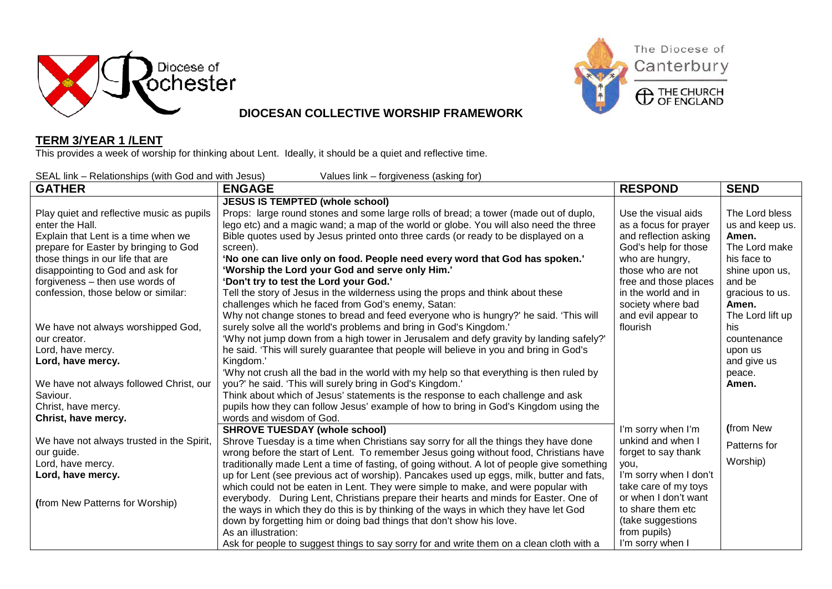



### **DIOCESAN COLLECTIVE WORSHIP FRAMEWORK**

#### **TERM 3/YEAR 1 /LENT**

This provides a week of worship for thinking about Lent. Ideally, it should be a quiet and reflective time.

SEAL link – Relationships (with God and with Jesus) Values link – forgiveness (asking for)

| $O1$ in the reduction of the product of $O2$ and with occupy<br><b>GATHER</b> | values link torgiveness (downly for)<br><b>ENGAGE</b>                                       | <b>RESPOND</b>         | <b>SEND</b>      |
|-------------------------------------------------------------------------------|---------------------------------------------------------------------------------------------|------------------------|------------------|
|                                                                               | <b>JESUS IS TEMPTED (whole school)</b>                                                      |                        |                  |
| Play quiet and reflective music as pupils                                     | Props: large round stones and some large rolls of bread; a tower (made out of duplo,        | Use the visual aids    | The Lord bless   |
| enter the Hall.                                                               | lego etc) and a magic wand; a map of the world or globe. You will also need the three       | as a focus for prayer  | us and keep us.  |
| Explain that Lent is a time when we                                           | Bible quotes used by Jesus printed onto three cards (or ready to be displayed on a          | and reflection asking  | Amen.            |
| prepare for Easter by bringing to God                                         | screen).                                                                                    | God's help for those   | The Lord make    |
| those things in our life that are                                             | 'No one can live only on food. People need every word that God has spoken.'                 | who are hungry,        | his face to      |
| disappointing to God and ask for                                              | 'Worship the Lord your God and serve only Him.'                                             | those who are not      | shine upon us,   |
| forgiveness - then use words of                                               | 'Don't try to test the Lord your God.'                                                      | free and those places  | and be           |
| confession, those below or similar:                                           | Tell the story of Jesus in the wilderness using the props and think about these             | in the world and in    | gracious to us.  |
|                                                                               | challenges which he faced from God's enemy, Satan:                                          | society where bad      | Amen.            |
|                                                                               | Why not change stones to bread and feed everyone who is hungry?' he said. 'This will        | and evil appear to     | The Lord lift up |
| We have not always worshipped God,                                            | surely solve all the world's problems and bring in God's Kingdom.'                          | flourish               | his              |
| our creator.                                                                  | 'Why not jump down from a high tower in Jerusalem and defy gravity by landing safely?'      |                        | countenance      |
| Lord, have mercy.                                                             | he said. 'This will surely guarantee that people will believe in you and bring in God's     |                        | upon us          |
| Lord, have mercy.                                                             | Kingdom.'                                                                                   |                        | and give us      |
|                                                                               | 'Why not crush all the bad in the world with my help so that everything is then ruled by    |                        | peace.           |
| We have not always followed Christ, our                                       | you?' he said. 'This will surely bring in God's Kingdom.'                                   |                        | Amen.            |
| Saviour.                                                                      | Think about which of Jesus' statements is the response to each challenge and ask            |                        |                  |
| Christ, have mercy.                                                           | pupils how they can follow Jesus' example of how to bring in God's Kingdom using the        |                        |                  |
| Christ, have mercy.                                                           | words and wisdom of God.                                                                    |                        |                  |
|                                                                               | <b>SHROVE TUESDAY (whole school)</b>                                                        | I'm sorry when I'm     | (from New        |
| We have not always trusted in the Spirit,                                     | Shrove Tuesday is a time when Christians say sorry for all the things they have done        | unkind and when I      | Patterns for     |
| our guide.                                                                    | wrong before the start of Lent. To remember Jesus going without food, Christians have       | forget to say thank    |                  |
| Lord, have mercy.                                                             | traditionally made Lent a time of fasting, of going without. A lot of people give something | you,                   | Worship)         |
| Lord, have mercy.                                                             | up for Lent (see previous act of worship). Pancakes used up eggs, milk, butter and fats,    | I'm sorry when I don't |                  |
|                                                                               | which could not be eaten in Lent. They were simple to make, and were popular with           | take care of my toys   |                  |
| (from New Patterns for Worship)                                               | everybody. During Lent, Christians prepare their hearts and minds for Easter. One of        | or when I don't want   |                  |
|                                                                               | the ways in which they do this is by thinking of the ways in which they have let God        | to share them etc      |                  |
|                                                                               | down by forgetting him or doing bad things that don't show his love.                        | (take suggestions      |                  |
|                                                                               | As an illustration:                                                                         | from pupils)           |                  |
|                                                                               | Ask for people to suggest things to say sorry for and write them on a clean cloth with a    | I'm sorry when I       |                  |